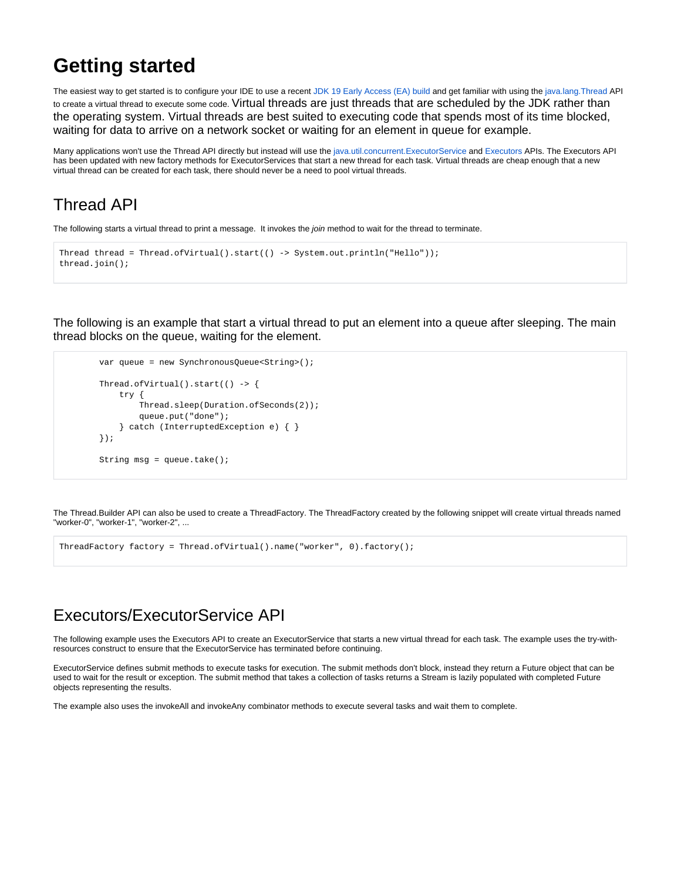## **Getting started**

The easiest way to get started is to configure your IDE to use a recent [JDK 19 Early Access \(EA\) build](http://jdk.java.net/19/) and get familiar with using the [java.lang.Thread](https://download.java.net/java/early_access/jdk19/docs/api/java.base/java/lang/Thread.html) API to create a virtual thread to execute some code. Virtual threads are just threads that are scheduled by the JDK rather than the operating system. Virtual threads are best suited to executing code that spends most of its time blocked, waiting for data to arrive on a network socket or waiting for an element in queue for example.

Many applications won't use the Thread API directly but instead will use the [java.util.concurrent.ExecutorService](https://download.java.net/java/early_access/jdk19/docs/api/java.base/java/util/concurrent/ExecutorService.html) and [Executors](https://download.java.net/java/early_access/jdk19/docs/api/java.base/java/util/concurrent/Executors.html) APIs. The Executors API has been updated with new factory methods for ExecutorServices that start a new thread for each task. Virtual threads are cheap enough that a new virtual thread can be created for each task, there should never be a need to pool virtual threads.

## Thread API

The following starts a virtual thread to print a message. It invokes the join method to wait for the thread to terminate.

```
Thread thread = Thread.ofVirtual().start(() -> System.out.println("Hello"));
thread.join();
```
The following is an example that start a virtual thread to put an element into a queue after sleeping. The main thread blocks on the queue, waiting for the element.

```
 var queue = new SynchronousQueue<String>();
 Thread.ofVirtual().start(() -> {
     try {
         Thread.sleep(Duration.ofSeconds(2));
         queue.put("done");
     } catch (InterruptedException e) { }
 });
 String msg = queue.take();
```
The Thread.Builder API can also be used to create a ThreadFactory. The ThreadFactory created by the following snippet will create virtual threads named "worker-0", "worker-1", "worker-2", ...

ThreadFactory factory = Thread.ofVirtual().name("worker", 0).factory();

## Executors/ExecutorService API

The following example uses the Executors API to create an ExecutorService that starts a new virtual thread for each task. The example uses the try-withresources construct to ensure that the ExecutorService has terminated before continuing.

ExecutorService defines submit methods to execute tasks for execution. The submit methods don't block, instead they return a Future object that can be used to wait for the result or exception. The submit method that takes a collection of tasks returns a Stream is lazily populated with completed Future objects representing the results.

The example also uses the invokeAll and invokeAny combinator methods to execute several tasks and wait them to complete.